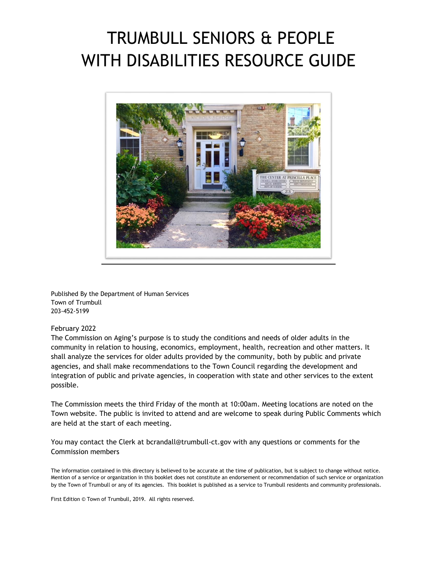# TRUMBULL SENIORS & PEOPLE WITH DISABILITIES RESOURCE GUIDE



Published By the Department of Human Services Town of Trumbull 203-452-5199

#### February 2022

The Commission on Aging's purpose is to study the conditions and needs of older adults in the community in relation to housing, economics, employment, health, recreation and other matters. It shall analyze the services for older adults provided by the community, both by public and private agencies, and shall make recommendations to the Town Council regarding the development and integration of public and private agencies, in cooperation with state and other services to the extent possible.

The Commission meets the third Friday of the month at 10:00am. Meeting locations are noted on the Town website. The public is invited to attend and are welcome to speak during Public Comments which are held at the start of each meeting.

You may contact the Clerk at bcrandall@trumbull-ct.gov with any questions or comments for the Commission members

The information contained in this directory is believed to be accurate at the time of publication, but is subject to change without notice. Mention of a service or organization in this booklet does not constitute an endorsement or recommendation of such service or organization by the Town of Trumbull or any of its agencies. This booklet is published as a service to Trumbull residents and community professionals.

First Edition © Town of Trumbull, 2019. All rights reserved.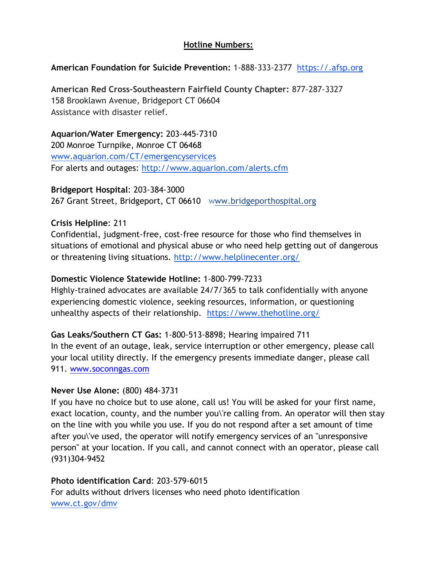#### **Hotline Numbers:**

#### **American Foundation for Suicide Prevention:** 1-888-333-2377 [https://.afsp.org](https://.afsp.org/)

**American Red Cross-Southeastern Fairfield County Chapter:** 877-287-3327 158 Brooklawn Avenue, Bridgeport CT 06604 Assistance with disaster relief.

**Aquarion/Water Emergency:** 203-445-7310 200 Monroe Turnpike, Monroe CT 06468 [www.aquarion.com/CT/emergencyservices](http://www.aquarion.com/CT/emergencyservices) For alerts and outages: <http://www.aquarion.com/alerts.cfm>

**Bridgeport Hospital**: 203-384-3000 267 Grant Street, Bridgeport, CT 06610 www.bridgeporthospital.org

#### **Crisis Helpline**: 211

Confidential, judgment-free, cost-free resource for those who find themselves in situations of emotional and physical abuse or who need help getting out of dangerous or threatening living situations. <http://www.helplinecenter.org/>

#### **Domestic Violence Statewide Hotline:** 1-800-799-7233

Highly-trained advocates are available 24/7/365 to talk confidentially with anyone experiencing domestic violence, seeking resources, information, or questioning unhealthy aspects of their relationship. <https://www.thehotline.org/>

**Gas Leaks/Southern CT Gas:** 1-800-513-8898; Hearing impaired 711 In the event of an outage, leak, service interruption or other emergency, please call your local utility directly. If the emergency presents immediate danger, please call 911. [www.soconngas.com](http://www.soconngas.com/)

#### **Never Use Alone:** (800) 484-3731

If you have no choice but to use alone, call us! You will be asked for your first name, exact location, county, and the number you\'re calling from. An operator will then stay on the line with you while you use. If you do not respond after a set amount of time after you\'ve used, the operator will notify emergency services of an "unresponsive person" at your location. If you call, and cannot connect with an operator, please call (931)304-9452

#### **Photo identification Card**: 203-579-6015

For adults without drivers licenses who need photo identification [www.ct.gov/dmv](http://www.ct.gov/dmv)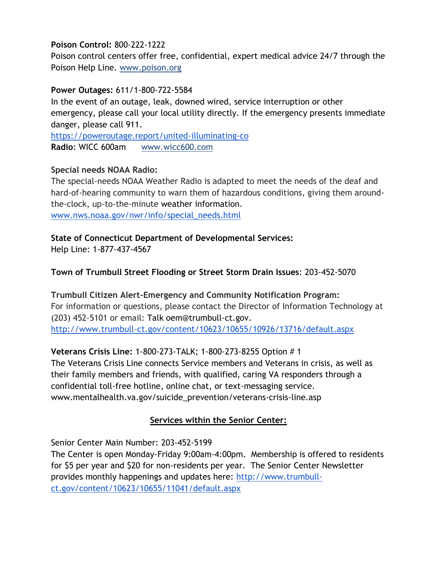## **Poison Control:** 800-222-1222

Poison control centers offer free, confidential, expert medical advice 24/7 through the Poison Help Line. www.poison.org

#### **Power Outages:** 611/1-800-722-5584

In the event of an outage, leak, downed wired, service interruption or other emergency, please call your local utility directly. If the emergency presents immediate danger, please call 911.

<https://poweroutage.report/united-illuminating-co> **Radio**[:](http://www.wicc600.com/) [WICC 600a](http://www.wicc600.com/)m www.wicc600.com

## **Special needs NOAA Radio:**

The special-needs NOAA Weather Radio is adapted to meet the needs of the deaf and hard-of-hearing community to warn them of hazardous conditions, giving them aroundthe-clock, up-to-the-minute weather information. [www.nws.noaa.gov/nwr/info/special\\_needs.html](http://www.nws.noaa.gov/nwr/info/special_needs.html)

## **State of Connecticut Department of Developmental Services:**

Help Line: 1-877-437-4567

## **Town of Trumbull Street Flooding or Street Storm Drain Issues**: 203-452-5070

## **Trumbull Citizen Alert-Emergency and Community Notification Program:**  For information or questions, please contact the Director of Information Technology at (203) 452-5101 or email: Talk oem@trumbull-ct.gov. <http://www.trumbull-ct.gov/content/10623/10655/10926/13716/default.aspx>

## **Veterans Crisis Line:** 1-800-273-TALK; 1-800-273-8255 Option # 1

The Veterans Crisis Line connects Service members and Veterans in crisis, as well as their family members and friends, with qualified, caring VA responders through a confidential toll-free hotline, online chat, or text-messaging service. www.mentalhealth.va.gov/suicide\_prevention/veterans-crisis-line.asp

## **Services within the Senior Center:**

Senior Center Main Number: 203-452-5199

The Center is open Monday-Friday 9:00am-4:00pm. Membership is offered to residents for \$5 per year and \$20 for non-residents per year. The Senior Center Newsletter provides monthly happenings and updates here: [http://www.trumbull](http://www.trumbull-ct.gov/content/10623/10655/11041/default.aspx)[ct.gov/content/10623/10655/11041/default.aspx](http://www.trumbull-ct.gov/content/10623/10655/11041/default.aspx)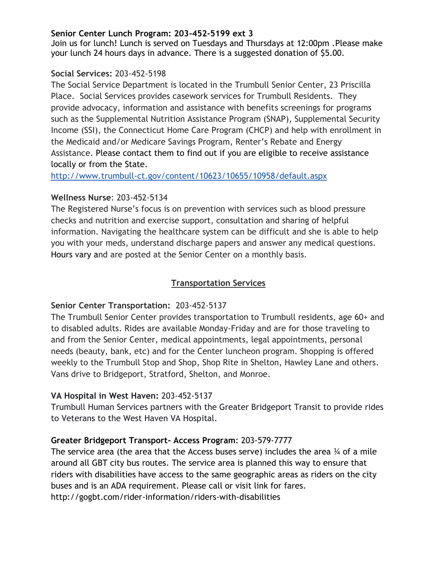#### **Senior Center Lunch Program: 203-452-5199 ext 3**

Join us for lunch! Lunch is served on Tuesdays and Thursdays at 12:00pm .Please make your lunch 24 hours days in advance. There is a suggested donation of \$5.00.

#### **Social Services:** 203-452-5198

The Social Service Department is located in the Trumbull Senior Center, 23 Priscilla Place. Social Services provides casework services for Trumbull Residents. They provide advocacy, information and assistance with benefits screenings for programs such as the Supplemental Nutrition Assistance Program (SNAP), Supplemental Security Income (SSI), the Connecticut Home Care Program (CHCP) and help with enrollment in the Medicaid and/or Medicare Savings Program, Renter's Rebate and Energy Assistance. Please contact them to find out if you are eligible to receive assistance locally or from the State.

<http://www.trumbull-ct.gov/content/10623/10655/10958/default.aspx>

#### **Wellness Nurse**: 203-452-5134

The Registered Nurse's focus is on prevention with services such as blood pressure checks and nutrition and exercise support, consultation and sharing of helpful information. Navigating the healthcare system can be difficult and she is able to help you with your meds, understand discharge papers and answer any medical questions. Hours vary and are posted at the Senior Center on a monthly basis.

#### **Transportation Services**

#### **Senior Center Transportation:** 203-452-5137

The Trumbull Senior Center provides transportation to Trumbull residents, age 60+ and to disabled adults. Rides are available Monday-Friday and are for those traveling to and from the Senior Center, medical appointments, legal appointments, personal needs (beauty, bank, etc) and for the Center luncheon program. Shopping is offered weekly to the Trumbull Stop and Shop, Shop Rite in Shelton, Hawley Lane and others. Vans drive to Bridgeport, Stratford, Shelton, and Monroe.

#### **VA Hospital in West Haven:** 203-452-5137

Trumbull Human Services partners with the Greater Bridgeport Transit to provide rides to Veterans to the West Haven VA Hospital.

#### **Greater Bridgeport Transport- Access Program**: 203-579-7777

The service area (the area that the Access buses serve) includes the area  $\frac{3}{4}$  of a mile around all GBT city bus routes. The service area is planned this way to ensure that riders with disabilities have access to the same geographic areas as riders on the city buses and is an ADA requirement. Please call or visit link for fares. http://gogbt.com/rider-information/riders-with-disabilities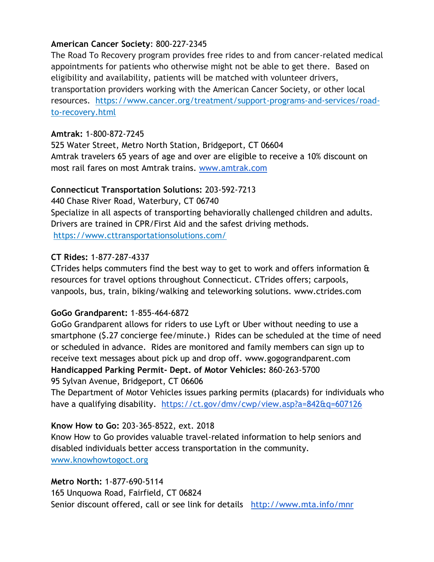#### **American Cancer Society**: 800-227-2345

The Road To Recovery program provides free rides to and from cancer-related medical appointments for patients who otherwise might not be able to get there. Based on eligibility and availability, patients will be matched with volunteer drivers, transportation providers working with the American Cancer Society, or other local resources. https://www.cancer.org/treatment/support-programs-and-services/roadto-recovery.html

## **Amtrak:** 1-800-872-7245

525 Water Street, Metro North Station, Bridgeport, CT 06604 Amtrak travelers 65 years of age and over are eligible to receive a 10% discount on most rail fares on most Amtrak trains. [www.amtrak.com](http://www.amtrak.com/) 

## **Connecticut Transportation Solutions:** 203-592-7213

440 Chase River Road, Waterbury, CT 06740 Specialize in all aspects of transporting behaviorally challenged children and adults. Drivers are trained in CPR/First Aid and the safest driving methods. https://www.cttransportationsolutions.com/

## **CT Rides:** 1-877-287-4337

CTrides helps commuters find the best way to get to work and offers information & resources for travel options throughout Connecticut. CTrides offers; carpools, vanpools, bus, train, biking/walking and teleworking solutions. www.ctrides.com

#### **GoGo Grandparent:** 1-855-464-6872

GoGo Grandparent allows for riders to use Lyft or Uber without needing to use a smartphone (\$.27 concierge fee/minute.) Rides can be scheduled at the time of need or scheduled in advance. Rides are monitored and family members can sign up to receive text messages about pick up and drop off. www.gogograndparent.com **Handicapped Parking Permit- Dept. of Motor Vehicles:** 860-263-5700 95 Sylvan Avenue, Bridgeport, CT 06606

The Department of Motor Vehicles issues parking permits (placards) for individuals who have [a](https://ct.gov/dmv/cwp/view.asp?a=842&q=607126#Qual) [qualifying disability.](https://ct.gov/dmv/cwp/view.asp?a=842&q=607126#Qual) <https://ct.gov/dmv/cwp/view.asp?a=842&q=607126>

## **Know How to Go:** 203-365-8522, ext. 2018

Know How to Go provides valuable travel-related information to help seniors and disabled individuals better access transportation in the community. www.knowhowtogoct.org

#### **Metro North:** 1-877-690-5114

165 Unquowa Road, Fairfield, CT 06824

Senior discount offered, call or see link for details <http://www.mta.info/mnr>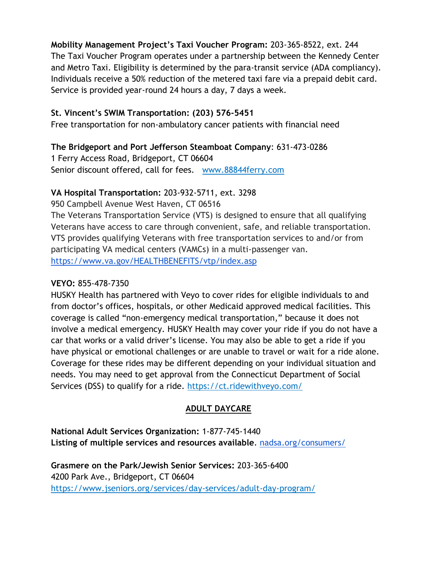**Mobility Management Project's Taxi Voucher Program:** 203-365-8522, ext. 244 The Taxi Voucher Program operates under a partnership between the Kennedy Center and Metro Taxi. Eligibility is determined by the para-transit service (ADA compliancy). Individuals receive a 50% reduction of the metered taxi fare via a prepaid debit card. Service is provided year-round 24 hours a day, 7 days a week.

#### **St. Vincent's SWIM Transportation: (203) 576-5451**

Free transportation for non-ambulatory cancer patients with financial need

#### **The Bridgeport and Port Jefferson Steamboat Company**: 631-473-0286

1 Ferry Access Road, Bridgeport, CT 06604 Senior discount offered, call for fees. www.88844ferry.com

#### **VA Hospital Transportation:** 203-932-5711, ext. 3298

950 Campbell Avenue West Haven, CT 06516 The Veterans Transportation Service (VTS) is designed to ensure that all qualifying Veterans have access to care through convenient, safe, and reliable transportation. VTS provides qualifying Veterans with free transportation services to and/or from participating VA medical centers (VAMCs) in a multi-passenger van. <https://www.va.gov/HEALTHBENEFITS/vtp/index.asp>

#### **VEYO:** 855-478-7350

HUSKY Health has partnered with Veyo to cover rides for eligible individuals to and from doctor's offices, hospitals, or other Medicaid approved medical facilities. This coverage is called "non-emergency medical transportation," because it does not involve a medical emergency. HUSKY Health may cover your ride if you do not have a car that works or a valid driver's license. You may also be able to get a ride if you have physical or emotional challenges or are unable to travel or wait for a ride alone. Coverage for these rides may be different depending on your individual situation and needs. You may need to get approval from the Connecticut Department of Social Services (DSS) to qualify for a ride. https://ct.ridewithveyo.com/

#### **ADULT DAYCARE**

**National Adult Services Organization:** 1-877-745-1440 **Listing of multiple services and resources available**. [nadsa.org/consumers/](https://www.nadsa.org/consumers/)

**Grasmere on the Park/Jewish Senior Services:** 203-365-6400 4200 Park Ave., Bridgeport, CT 06604 https://www.jseniors.org/services/day-services/adult-day-program/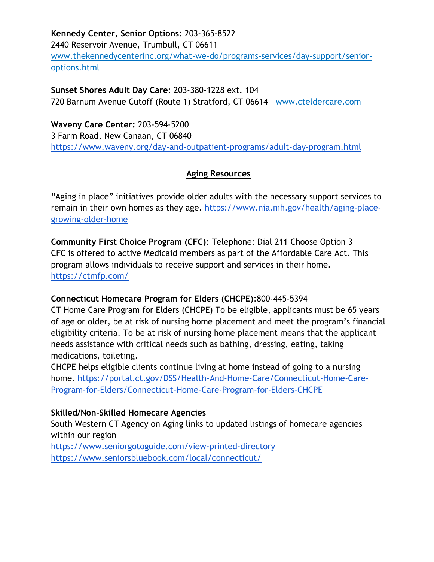**Kennedy Center, Senior Options**: 203-365-8522 2440 Reservoir Avenue, Trumbull, CT 06611 www.thekennedycenterinc.org/what-we-do/programs-services/day-support/senioroptions.html

**Sunset Shores Adult Day Care**: 203-380-1228 ext. 104 720 Barnum Avenue Cutoff (Route 1) Stratford, CT 06614 www.cteldercare.com

**Waveny Care Center:** 203-594-5200 3 Farm Road, New Canaan, CT 06840 <https://www.waveny.org/day-and-outpatient-programs/adult-day-program.html>

## **Aging Resources**

"Aging in place" initiatives provide older adults with the necessary support services to remain in their own homes as they age. [https://www.nia.nih.gov/health/aging-place](https://www.nia.nih.gov/health/aging-place-growing-older-home)[growing-older-home](https://www.nia.nih.gov/health/aging-place-growing-older-home)

**Community First Choice Program (CFC)**: Telephone: Dial 211 Choose Option 3 CFC is offered to active Medicaid members as part of the Affordable Care Act. This program allows individuals to receive support and services in their home. <https://ctmfp.com/>

#### **Connecticut Homecare Program for Elders (CHCPE)**:800-445-5394

CT Home Care Program for Elders (CHCPE) To be eligible, applicants must be 65 years of age or older, be at risk of nursing home placement and meet the program's financial eligibility criteria. To be at risk of nursing home placement means that the applicant needs assistance with critical needs such as bathing, dressing, eating, taking medications, toileting.

CHCPE helps eligible clients continue living at home instead of going to a nursing home. [https://portal.ct.gov/DSS/Health-And-Home-Care/Connecticut-Home-Care-](https://portal.ct.gov/DSS/Health-And-Home-Care/Connecticut-Home-Care-Program-for-Elders/Connecticut-Home-Care-Program-for-Elders-CHCPE)[Program-for-Elders/Connecticut-Home-Care-Program-for-Elders-CHCPE](https://portal.ct.gov/DSS/Health-And-Home-Care/Connecticut-Home-Care-Program-for-Elders/Connecticut-Home-Care-Program-for-Elders-CHCPE)

#### **Skilled/Non-Skilled Homecare Agencies**

South Western CT Agency on Aging links to updated listings of homecare agencies within our region

<https://www.seniorgotoguide.com/view-printed-directory> <https://www.seniorsbluebook.com/local/connecticut/>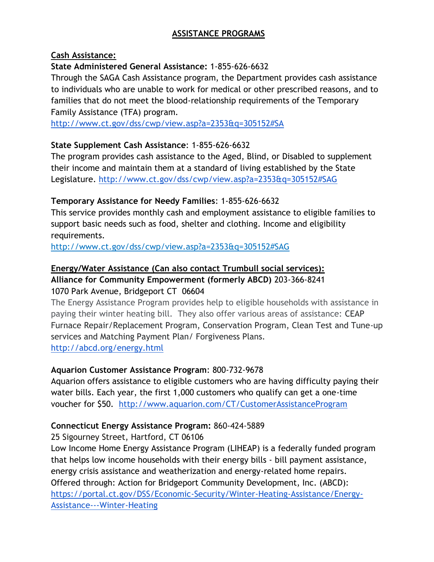## **ASSISTANCE PROGRAMS**

#### **Cash Assistance:**

#### **State Administered General Assistance:** 1-855-626-6632

Through the SAGA Cash Assistance program, the Department provides cash assistance to individuals who are unable to work for medical or other prescribed reasons, and to families that do not meet the blood-relationship requirements of the Temporary Family Assistance (TFA) program[.](http://www.ct.gov/dss/cwp/view.asp?a=2353&q=305152#SA)

<http://www.ct.gov/dss/cwp/view.asp?a=2353&q=305152#SA>

## **State Supplement Cash Assistance**: 1-855-626-6632

The program provides cash assistance to the Aged, Blind, or Disabled to supplement their income and maintain them at a standard of living established by the State Legislature.<http://www.ct.gov/dss/cwp/view.asp?a=2353&q=305152#SAG>

#### **Temporary Assistance for Needy Families**: 1-855-626-6632

This service provides monthly cash and employment assistance to eligible families to support basic needs such as food, shelter and clothing. Income and eligibility requirements.

http://www.ct.gov/dss/cwp/view.asp?a=2353&q=305152#SAG

## **Energy/Water Assistance (Can also contact Trumbull social services):**

## **Alliance for Community Empowerment (formerly ABCD)** 203-366-8241 1070 Park Avenue, Bridgeport CT 06604

The Energy Assistance Program provides help to eligible households with assistance in paying their winter heating bill. They also offer various areas of assistance: CEAP Furnace Repair/Replacement Program, Conservation Program, Clean Test and Tune-up services and Matching Payment Plan/ Forgiveness Plans. <http://abcd.org/energy.html>

## **Aquarion Customer Assistance Program**: 800-732-9678

Aquarion offers assistance to eligible customers who are having difficulty paying their water bills. Each year, the first 1,000 customers who qualify can get a one-time voucher for \$50. <http://www.aquarion.com/CT/CustomerAssistanceProgram>

## **Connecticut Energy Assistance Program:** 860-424-5889

25 Sigourney Street, Hartford, CT 06106

Low Income Home Energy Assistance Program (LIHEAP) is a federally funded program that helps low income households with their energy bills - bill payment assistance, energy crisis assistance and weatherization and energy-related home repairs. Offered through: Action for Bridgeport Community Development, Inc. (ABCD): [https://portal.ct.gov/DSS/Economic-Security/Winter-Heating-Assistance/Energy-](https://portal.ct.gov/DSS/Economic-Security/Winter-Heating-Assistance/Energy-Assistance---Winter-Heating)[Assistance---Winter-Heating](https://portal.ct.gov/DSS/Economic-Security/Winter-Heating-Assistance/Energy-Assistance---Winter-Heating)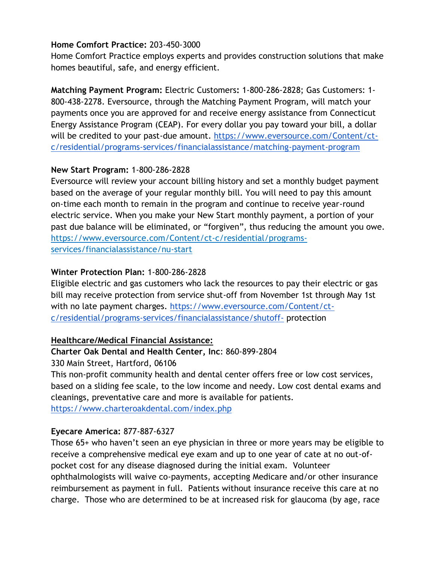#### **Home Comfort Practice:** 203-450-3000

Home Comfort Practice employs experts and provides construction solutions that make homes beautiful, safe, and energy efficient.

**Matching Payment Program:** Electric Customers**:** 1-800-286-2828; Gas Customers: 1- 800-438-2278. Eversource, through the Matching Payment Program, will match your payments once you are approved for and receive energy assistance from Connecticut Energy Assistance Program (CEAP). For every dollar you pay toward your bill, a dollar will be credited to your past-due amount[.](https://www.eversource.com/Content/ct-c/residential/programs-services/financialassistance/matching-payment-program) [https://www.eversource.com/Content/ct](https://www.eversource.com/Content/ct-c/residential/programs-services/financialassistance/matching-payment-program)[c/residential/programs-services/financialassistance/matching-payment-program](https://www.eversource.com/Content/ct-c/residential/programs-services/financialassistance/matching-payment-program)

## **New Start Program:** 1-800-286-2828

Eversource will review your account billing history and set a monthly budget payment based on the average of your regular monthly bill. You will need to pay this amount on-time each month to remain in the program and continue to receive year-round electric service. When you make your New Start monthly payment, a portion of your past due balance will be eliminated, or "forgiven", thus reducing the amount you owe. https://www.eversource.com/Content/ct-c/residential/programsservices/financialassistance/nu-start

# **Winter Protection Plan:** 1-800-286-2828

Eligible electric and gas customers who lack the resources to pay their electric or gas bill may receive protection from service shut-off from November 1st through May 1st with no late payment charges[.](https://www.eversource.com/Content/ct-c/residential/programs-services/financialassistance/shutoff-) [https://www.eversource.com/Content/ct](https://www.eversource.com/Content/ct-c/residential/programs-services/financialassistance/shutoff-)[c/residential/programs-services/financialassistance/shutoff-](https://www.eversource.com/Content/ct-c/residential/programs-services/financialassistance/shutoff-) protection

## **Healthcare/Medical Financial Assistance:**

## **Charter Oak Dental and Health Center, Inc**: 860-899-2804

330 Main Street, Hartford, 06106

This non-profit community health and dental center offers free or low cost services, based on a sliding fee scale, to the low income and needy. Low cost dental exams and cleanings, preventative care and more is available for patients.

<https://www.charteroakdental.com/index.php>

## **Eyecare America:** 877-887-6327

Those 65+ who haven't seen an eye physician in three or more years may be eligible to receive a comprehensive medical eye exam and up to one year of cate at no out-ofpocket cost for any disease diagnosed during the initial exam. Volunteer ophthalmologists will waive co-payments, accepting Medicare and/or other insurance reimbursement as payment in full. Patients without insurance receive this care at no charge. Those who are determined to be at increased risk for glaucoma (by age, race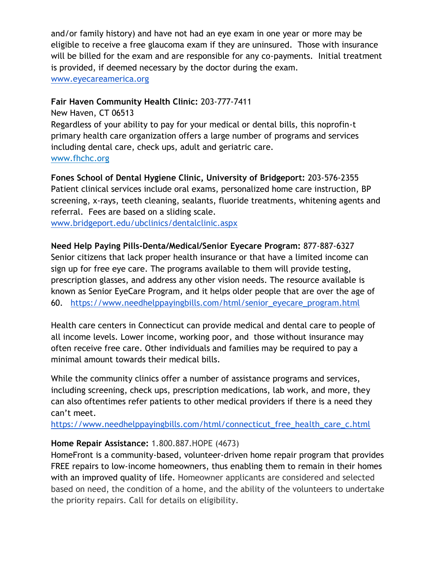and/or family history) and have not had an eye exam in one year or more may be eligible to receive a free glaucoma exam if they are uninsured. Those with insurance will be billed for the exam and are responsible for any co-payments. Initial treatment is provided, if deemed necessary by the doctor during the exam. [www.eyecareamerica.org](http://www.eyecareamerica.org/)

#### **Fair Haven Community Health Clinic:** 203-777-7411

New Haven, CT 06513 Regardless of your ability to pay for your medical or dental bills, this noprofin-t primary health care organization offers a large number of programs and services including dental care, check ups, adult and geriatric care. www.fhchc.org

**Fones School of Dental Hygiene Clinic, University of Bridgeport:** 203-576-2355 Patient clinical services include oral exams, personalized home care instruction, BP screening, x-rays, teeth cleaning, sealants, fluoride treatments, whitening agents and referral. Fees are based on a sliding scale.

[www.bridgeport.edu/ubclinics/dentalclinic.aspx](http://www.bridgeport.edu/ubclinics/dentalclinic.aspx)

#### **Need Help Paying Pills-Denta/Medical/Senior Eyecare Program:** 877-887-6327

Senior citizens that lack proper health insurance or that have a limited income can sign up for free eye care. The programs available to them will provide testing, prescription glasses, and address any other vision needs. The resource available is known as Senior EyeCare Program, and it helps older people that are over the age of 60. [https://www.needhelppayingbills.com/html/senior\\_eyecare\\_program.html](https://www.needhelppayingbills.com/html/senior_eyecare_program.html)

Health care centers in Connecticut can provide medical and dental care to people of all income levels. Lower income, working poor, and those without insurance may often receive free care. Other individuals and families may be required to pay a minimal amount towards their medical bills.

While the community clinics offer a number of assistance programs and services, including screening, check ups, prescription medications, lab work, and more, they can also oftentimes refer patients to other medical providers if there is a need they can't meet.

[https://www.needhelppayingbills.com/html/connecticut\\_free\\_health\\_care\\_c.html](https://www.needhelppayingbills.com/html/connecticut_free_health_care_c.html)

#### **Home Repair Assistance:** 1.800.887.HOPE (4673)

HomeFront is a community-based, volunteer-driven home repair program that provides FREE repairs to low-income homeowners, thus enabling them to remain in their homes with an improved quality of life. Homeowner applicants are considered and selected based on need, the condition of a home, and the ability of the volunteers to undertake the priority repairs. Call for details on eligibility.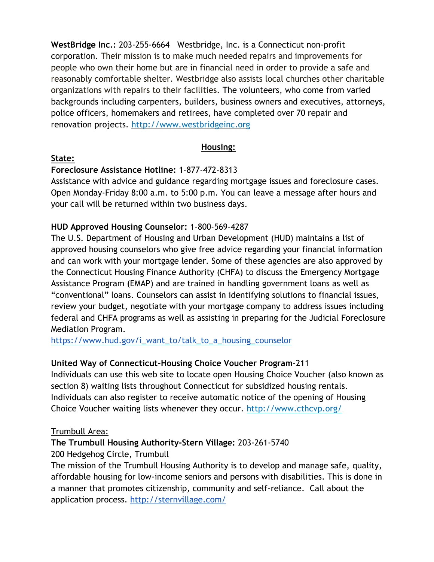**WestBridge Inc.:** 203-255-6664 Westbridge, Inc. is a Connecticut non-profit corporation. Their mission is to make much needed repairs and improvements for people who own their home but are in financial need in order to provide a safe and reasonably comfortable shelter. Westbridge also assists local churches other charitable organizations with repairs to their facilities. The volunteers, who come from varied backgrounds including carpenters, builders, business owners and executives, attorneys, police officers, homemakers and retirees, have completed over 70 repair and renovation projects. http://www.westbridgeinc.org

#### **Housing:**

#### **State:**

## **Foreclosure Assistance Hotline:** 1-877-472-8313

Assistance with advice and guidance regarding mortgage issues and foreclosure cases. Open Monday-Friday 8:00 a.m. to 5:00 p.m. You can leave a message after hours and your call will be returned within two business days.

## **HUD Approved Housing Counselor:** 1-800-569-4287

The U.S. Department of Housing and Urban Development (HUD) maintains a list of approved housing counselors who give free advice regarding your financial information and can work with your mortgage lender. Some of these agencies are also approved by the Connecticut Housing Finance Authority (CHFA) to discuss the Emergency Mortgage Assistance Program (EMAP) and are trained in handling government loans as well as "conventional" loans. Counselors can assist in identifying solutions to financial issues, review your budget, negotiate with your mortgage company to address issues including federal and CHFA programs as well as assisting in preparing for the Judicial Foreclosure Mediation Program.

[https://www.hud.gov/i\\_want\\_to/talk\\_to\\_a\\_housing\\_counselor](https://www.hud.gov/i_want_to/talk_to_a_housing_counselor)\_

## **United Way of Connecticut-Housing Choice Voucher Program**-211

Individuals can use this web site to locate open Housing Choice Voucher (also known as section 8) waiting lists throughout Connecticut for subsidized housing rentals. Individuals can also register to receive automatic notice of the opening of Housing Choice Voucher waiting lists whenever they occur. http://www.cthcvp.org/

#### Trumbull Area:

# **The Trumbull Housing Authority-Stern Village:** 203-261-5740

200 Hedgehog Circle, Trumbull

The mission of the Trumbull Housing Authority is to develop and manage safe, quality, affordable housing for low-income seniors and persons with disabilities. This is done in a manner that promotes citizenship, community and self-reliance. Call about the application process. <http://sternvillage.com/>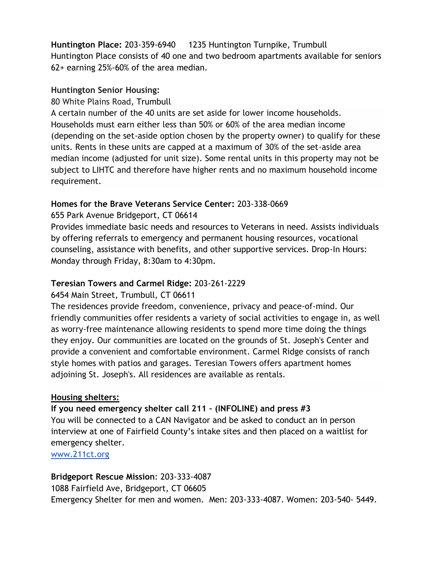**Huntington Place:** 203-359-6940 1235 Huntington Turnpike, Trumbull Huntington Place consists of 40 one and two bedroom apartments available for seniors 62+ earning 25%-60% of the area median.

#### **Huntington Senior Housing:**

## 80 White Plains Road, Trumbull

A certain number of the 40 units are set aside for lower income households. Households must earn either less than 50% or 60% of the area median income (depending on the set-aside option chosen by the property owner) to qualify for these units. Rents in these units are capped at a maximum of 30% of the set-aside area median income (adjusted for unit size). Some rental units in this property may not be subject to LIHTC and therefore have higher rents and no maximum household income requirement.

## **Homes for the Brave Veterans Service Center:** 203-338-0669

## 655 Park Avenue Bridgeport, CT 06614

Provides immediate basic needs and resources to Veterans in need. Assists individuals by offering referrals to emergency and permanent housing resources, vocational counseling, assistance with benefits, and other supportive services. Drop-In Hours: Monday through Friday, 8:30am to 4:30pm.

#### **Teresian Towers and Carmel Ridge:** 203-261-2229

## 6454 Main Street, Trumbull, CT 06611

The residences provide freedom, convenience, privacy and peace-of-mind. Our friendly communities offer residents a variety of social activities to engage in, as well as worry-free maintenance allowing residents to spend more time doing the things they enjoy. Our communities are located on the grounds of St. Joseph's Center and provide a convenient and comfortable environment. Carmel Ridge consists of ranch style homes with patios and garages. Teresian Towers offers apartment homes adjoining St. Joseph's. All residences are available as rentals.

## **Housing shelters:**

#### **If you need emergency shelter call 211 – (INFOLINE) and press #3**

You will be connected to a CAN Navigator and be asked to conduct an in person interview at one of Fairfield County's intake sites and then placed on a waitlist for emergency shelter.

[www.211ct.org](http://www.211ct.org/)

#### **Bridgeport Rescue Mission**: 203-333-4087

1088 Fairfield Ave, Bridgeport, CT 06605 Emergency Shelter for men and women. Men: 203-333-4087. Women: 203-540- 5449.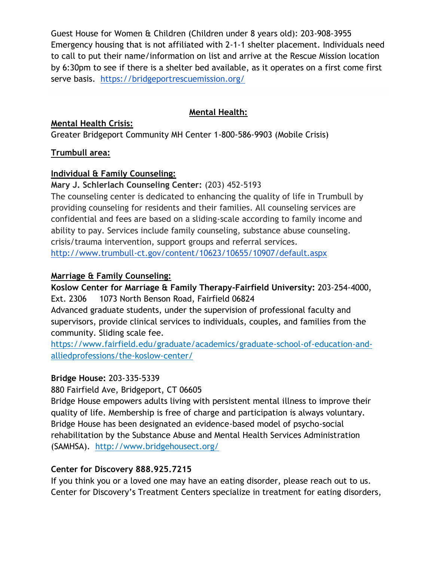Guest House for Women & Children (Children under 8 years old): 203-908-3955 Emergency housing that is not affiliated with 2-1-1 shelter placement. Individuals need to call to put their name/information on list and arrive at the Rescue Mission location by 6:30pm to see if there is a shelter bed available, as it operates on a first come first serve basis. <https://bridgeportrescuemission.org/>

#### **Mental Health:**

#### **Mental Health Crisis:**

Greater Bridgeport Community MH Center 1-800-586-9903 (Mobile Crisis)

## **Trumbull area:**

## **Individual & Family Counseling:**

**Mary J. Schlerlach Counseling Center:** (203) 452-5193

The counseling center is dedicated to enhancing the quality of life in Trumbull by providing counseling for residents and their families. All counseling services are confidential and fees are based on a sliding-scale according to family income and ability to pay. Services include family counseling, substance abuse counseling. crisis/trauma intervention, support groups and referral services.

<http://www.trumbull-ct.gov/content/10623/10655/10907/default.aspx>

## **Marriage & Family Counseling:**

**Koslow Center for Marriage & Family Therapy-Fairfield University:** 203-254-4000, Ext. 2306 1073 North Benson Road, Fairfield 06824 Advanced graduate students, under the supervision of professional faculty and

supervisors, provide clinical services to individuals, couples, and families from the community. Sliding scale fee.

https://www.fairfield.edu/graduate/academics/graduate-school-of-education-andalliedprofessions/the-koslow-center/

## **Bridge House:** 203-335-5339

880 Fairfield Ave, Bridgeport, CT 06605

Bridge House empowers adults living with persistent mental illness to improve their quality of life. Membership is free of charge and participation is always voluntary. Bridge House has been designated an evidence-based model of psycho-social rehabilitation by the Substance Abuse and Mental Health Services Administration (SAMHSA). http://www.bridgehousect.org/

## **Center for Discovery 888.925.7215**

If you think you or a loved one may have an eating disorder, please reach out to us. Center for Discovery's Treatment Centers specialize in treatment for eating disorders,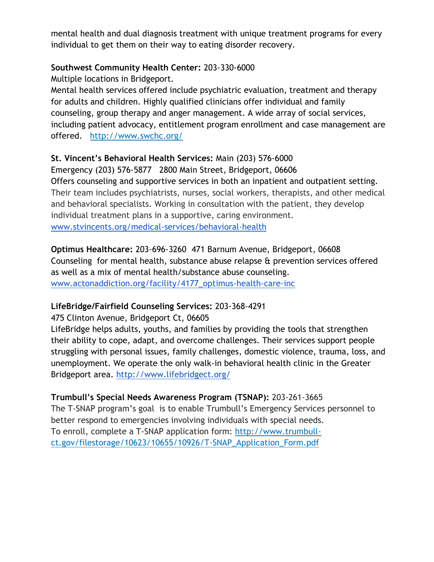mental health and dual diagnosis treatment with unique treatment programs for every individual to get them on their way to eating disorder recovery.

#### **Southwest Community Health Center:** 203-330-6000

Multiple locations in Bridgeport.

Mental health services offered include psychiatric evaluation, treatment and therapy for adults and children. Highly qualified clinicians offer individual and family counseling, group therapy and anger management. A wide array of social services, including patient advocacy, entitlement program enrollment and case management are offered. http://www.swchc.org/

## **St. Vincent's Behavioral Health Services:** Main (203) 576-6000

Emergency (203) 576-5877 2800 Main Street, Bridgeport, 06606 Offers counseling and supportive services in both an inpatient and outpatient setting. Their team includes psychiatrists, nurses, social workers, therapists, and other medical and behavioral specialists. Working in consultation with the patient, they develop individual treatment plans in a supportive, caring environment. [www.stvincents.org/medical-services/behavioral-health](http://www.stvincents.org/medical-services/behavioral-health)

**Optimus Healthcare:** 203-696-3260 471 Barnum Avenue, Bridgeport, 06608 Counseling for mental health, substance abuse relapse & prevention services offered as well as a mix of mental health/substance abuse counseling. [www.actonaddiction.org/facility/4177\\_optimus-health-care-inc](http://www.actonaddiction.org/facility/4177_optimus-health-care-inc)

## **LifeBridge/Fairfield Counseling Services:** 203-368-4291

## 475 Clinton Avenue, Bridgeport Ct, 06605

LifeBridge helps adults, youths, and families by providing the tools that strengthen their ability to cope, adapt, and overcome challenges. Their services support people struggling with personal issues, family challenges, domestic violence, trauma, loss, and unemployment. We operate the only walk-in behavioral health clinic in the Greater Bridgeport area. <http://www.lifebridgect.org/>

## **Trumbull's Special Needs Awareness Program (TSNAP):** 203-261-3665

The T-SNAP program's goal is to enable Trumbull's Emergency Services personnel to better respond to emergencies involving individuals with special needs. To enroll, complete a T-SNAP application form: [http://www.trumbull](http://www.trumbull-ct.gov/filestorage/10623/10655/10926/T-SNAP_Application_Form.pdf)[ct.gov/filestorage/10623/10655/10926/T-SNAP\\_Application\\_Form.pdf](http://www.trumbull-ct.gov/filestorage/10623/10655/10926/T-SNAP_Application_Form.pdf)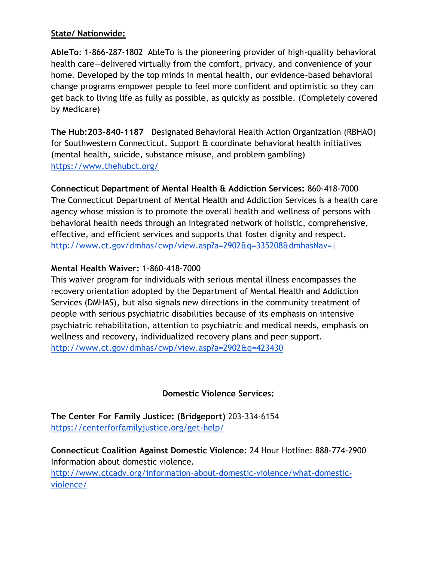#### **State/ Nationwide:**

**AbleTo**: 1-866-287-1802 AbleTo is the pioneering provider of high-quality behavioral health care—delivered virtually from the comfort, privacy, and convenience of your home. Developed by the top minds in mental health, our evidence-based behavioral change programs empower people to feel more confident and optimistic so they can get back to living life as fully as possible, as quickly as possible. (Completely covered by Medicare)

**The Hub:203-840-1187** Designated Behavioral Health Action Organization (RBHAO) for Southwestern Connecticut. Support & coordinate behavioral health initiatives (mental health, suicide, substance misuse, and problem gambling) <https://www.thehubct.org/>

**Connecticut Department of Mental Health & Addiction Services:** 860-418-7000 The Connecticut Department of Mental Health and Addiction Services is a health care agency whose mission is to promote the overall health and wellness of persons with behavioral health needs through an integrated network of holistic, comprehensive, effective, and efficient services and supports that foster dignity and respect. [http://www.ct.gov/dmhas/cwp/view.asp?a=2902&q=335208&dmhasNav=|](http://www.ct.gov/dmhas/cwp/view.asp?a=2902&q=335208&dmhasNav=%7C) 

#### **Mental Health Waiver:** 1-860-418-7000

This waiver program for individuals with serious mental illness encompasses the recovery orientation adopted by the Department of Mental Health and Addiction Services (DMHAS), but also signals new directions in the community treatment of people with serious psychiatric disabilities because of its emphasis on intensive psychiatric rehabilitation, attention to psychiatric and medical needs, emphasis on wellness and recovery, individualized recovery plans and peer support. <http://www.ct.gov/dmhas/cwp/view.asp?a=2902&q=423430>

#### **Domestic Violence Services:**

**The Center For Family Justice: (Bridgeport)** 203-334-6154 <https://centerforfamilyjustice.org/get-help/>

**Connecticut Coalition Against Domestic Violence**: 24 Hour Hotline: 888-774-2900 Information about domestic violence.

[http://www.ctcadv.org/information-about-domestic-violence/what-domestic](http://www.ctcadv.org/information-about-domestic-violence/what-domestic-violence/)[violence/](http://www.ctcadv.org/information-about-domestic-violence/what-domestic-violence/)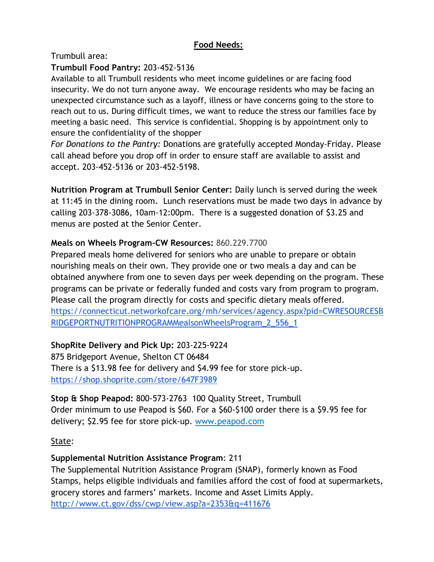## **Food Needs:**

Trumbull area:

## **Trumbull Food Pantry:** 203-452-5136

Available to all Trumbull residents who meet income guidelines or are facing food insecurity. We do not turn anyone away. We encourage residents who may be facing an unexpected circumstance such as a layoff, illness or have concerns going to the store to reach out to us. During difficult times, we want to reduce the stress our families face by meeting a basic need. This service is confidential. Shopping is by appointment only to ensure the confidentiality of the shopper

*For Donations to the Pantry:* Donations are gratefully accepted Monday-Friday. Please call ahead before you drop off in order to ensure staff are available to assist and accept. 203-452-5136 or 203-452-5198.

**Nutrition Program at Trumbull Senior Center:** Daily lunch is served during the week at 11:45 in the dining room. Lunch reservations must be made two days in advance by calling 203-378-3086, 10am-12:00pm. There is a suggested donation of \$3.25 and menus are posted at the Senior Center.

## **Meals on Wheels Program-CW Resources:** 860.229.7700

Prepared meals home delivered for seniors who are unable to prepare or obtain nourishing meals on their own. They provide one or two meals a day and can be obtained anywhere from one to seven days per week depending on the program. These programs can be private or federally funded and costs vary from program to program. Please call the program directly for costs and specific dietary meals offered. [https://connecticut.networkofcare.org/mh/services/agency.aspx?pid=CWRESOURCESB](https://connecticut.networkofcare.org/mh/services/agency.aspx?pid=CWRESOURCESBRIDGEPORTNUTRITIONPROGRAMMealsonWheelsProgram_2_556_1) [RIDGEPORTNUTRITIONPROGRAMMealsonWheelsProgram\\_2\\_556\\_1](https://connecticut.networkofcare.org/mh/services/agency.aspx?pid=CWRESOURCESBRIDGEPORTNUTRITIONPROGRAMMealsonWheelsProgram_2_556_1)

## **ShopRite Delivery and Pick Up:** 203-225-9224

875 Bridgeport Avenue, Shelton CT 06484 There is a \$13.98 fee for delivery and \$4.99 fee for store pick-up. <https://shop.shoprite.com/store/647F3989>

**Stop & Shop Peapod:** 800-573-2763 100 Quality Street, Trumbull Order minimum to use Peapod is \$60. For a \$60-\$100 order there is a \$9.95 fee for delivery; \$2.95 fee for store pick-up. www.peapod.com

#### State:

## **Supplemental Nutrition Assistance Program**: 211

The Supplemental Nutrition Assistance Program (SNAP), formerly known as Food Stamps, helps eligible individuals and families afford the cost of food at supermarkets, grocery stores and farmers' markets. Income and Asset Limits Apply[.](http://www.ct.gov/dss/cwp/view.asp?a=2353&q=411676) <http://www.ct.gov/dss/cwp/view.asp?a=2353&q=411676>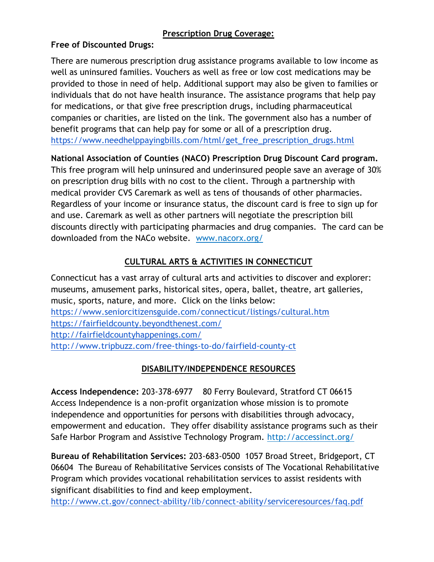## **Prescription Drug Coverage:**

## **Free of Discounted Drugs:**

There are numerous prescription drug assistance programs available to low income as well as uninsured families. Vouchers as well as free or low cost medications may be provided to those in need of help. Additional support may also be given to families or individuals that do not have health insurance. The assistance programs that help pay for medications, or that give free prescription drugs, including pharmaceutical companies or charities, are listed on the link. The government also has a number of benefit programs that can help pay for some or all of a prescription drug. [https://www.needhelppayingbills.com/html/get\\_free\\_prescription\\_drugs.html](https://www.needhelppayingbills.com/html/get_free_prescription_drugs.html)

# **National Association of Counties (NACO) Prescription Drug Discount Card program.**

This free program will help uninsured and underinsured people save an average of 30% on prescription drug bills with no cost to the client. Through a partnership with medical provider CVS Caremark as well as tens of thousands of other pharmacies. Regardless of your income or insurance status, the discount card is free to sign up for and use. Caremark as well as other partners will negotiate the prescription bill discounts directly with participating pharmacies and drug companies. The card can be downloaded from the NACo website. www.nacorx.org/

# **CULTURAL ARTS & ACTIVITIES IN CONNECTICUT**

Connecticut has a vast array of cultural arts and activities to discover and explorer: museums, amusement parks, historical sites, opera, ballet, theatre, art galleries, music, sports, nature, and more. Click on the links below: <https://www.seniorcitizensguide.com/connecticut/listings/cultural.htm> <https://fairfieldcounty.beyondthenest.com/> <http://fairfieldcountyhappenings.com/> <http://www.tripbuzz.com/free-things-to-do/fairfield-county-ct>

## **DISABILITY/INDEPENDENCE RESOURCES**

**Access Independence:** 203-378-6977 80 Ferry Boulevard, Stratford CT 06615 Access Independence is a non-profit organization whose mission is to promote independence and opportunities for persons with disabilities through advocacy, empowerment and education. They offer disability assistance programs such as their Safe Harbor Program and Assistive Technology Program. http://accessinct.org/

**Bureau of Rehabilitation Services:** 203-683-0500 1057 Broad Street, Bridgeport, CT 06604 The Bureau of Rehabilitative Services consists of The Vocational Rehabilitative Program which provides vocational rehabilitation services to assist residents with significant disabilities to find and keep employment.

<http://www.ct.gov/connect-ability/lib/connect-ability/serviceresources/faq.pdf>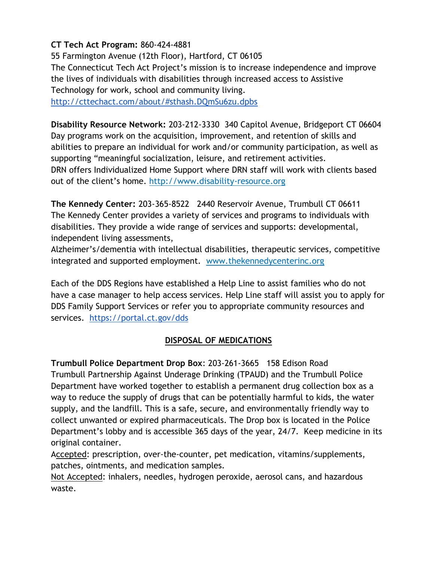## **CT Tech Act Program:** 860-424-4881

55 Farmington Avenue (12th Floor), Hartford, CT 06105 The Connecticut Tech Act Project's mission is to increase independence and improve the lives of individuals with disabilities through increased access to Assistive Technology for work, school and community living.

<http://cttechact.com/about/#sthash.DQmSu6zu.dpbs>

**Disability Resource Network:** 203-212-3330 340 Capitol Avenue, Bridgeport CT 06604 Day programs work on the acquisition, improvement, and retention of skills and abilities to prepare an individual for work and/or community participation, as well as supporting "meaningful socialization, leisure, and retirement activities. DRN offers Individualized Home Support where DRN staff will work with clients based out of the client's home. http://www.disability-resource.org

**The Kennedy Center:** 203-365-8522 2440 Reservoir Avenue, Trumbull CT 06611 The Kennedy Center provides a variety of services and programs to individuals with disabilities. They provide a wide range of services and supports: developmental, independent living assessments,

Alzheimer's/dementia with intellectual disabilities, therapeutic services, competitive integrated and supported employment. www.thekennedycenterinc.org

Each of the DDS Regions have established a Help Line to assist families who do not have a case manager to help access services. Help Line staff will assist you to apply for DDS Family Support Services or refer you to appropriate community resources and services. <https://portal.ct.gov/dds>

#### **DISPOSAL OF MEDICATIONS**

**Trumbull Police Department Drop Box**: 203-261-3665 158 Edison Road Trumbull Partnership Against Underage Drinking (TPAUD) and the Trumbull Police Department have worked together to establish a permanent drug collection box as a way to reduce the supply of drugs that can be potentially harmful to kids, the water supply, and the landfill. This is a safe, secure, and environmentally friendly way to collect unwanted or expired pharmaceuticals. The Drop box is located in the Police Department's lobby and is accessible 365 days of the year, 24/7. Keep medicine in its original container.

Accepted: prescription, over-the-counter, pet medication, vitamins/supplements, patches, ointments, and medication samples.

Not Accepted: inhalers, needles, hydrogen peroxide, aerosol cans, and hazardous waste.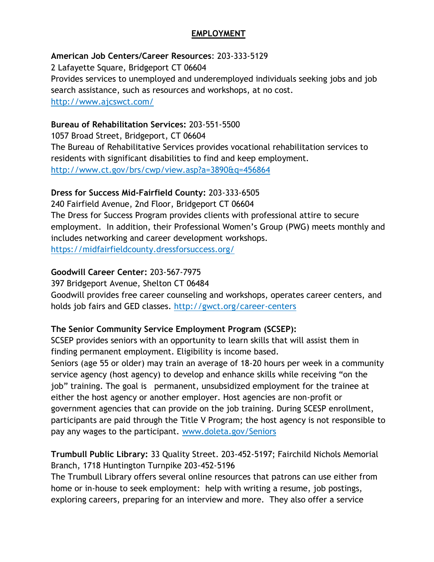## **EMPLOYMENT**

## **American Job Centers/Career Resources**: 203-333-5129

2 Lafayette Square, Bridgeport CT 06604 Provides services to unemployed and underemployed individuals seeking jobs and job search assistance, such as resources and workshops, at no cost. http://www.ajcswct.com/

## **Bureau of Rehabilitation Services:** 203-551-5500

1057 Broad Street, Bridgeport, CT 06604 The Bureau of Rehabilitative Services provides vocational rehabilitation services to residents with significant disabilities to find and keep employment. http://www.ct.gov/brs/cwp/view.asp?a=3890&q=456864

## **Dress for Success Mid-Fairfield County:** 203-333-6505

240 Fairfield Avenue, 2nd Floor, Bridgeport CT 06604 The Dress for Success Program provides clients with professional attire to secure employment. In addition, their Professional Women's Group (PWG) meets monthly and includes networking and career development workshops. https://midfairfieldcounty.dressforsuccess.org/

## **Goodwill Career Center:** 203-567-7975

397 Bridgeport Avenue, Shelton CT 06484

Goodwill provides free career counseling and workshops, operates career centers, and holds job fairs and GED classes. http://gwct.org/career-centers

#### **The Senior Community Service Employment Program (SCSEP):**

SCSEP provides seniors with an opportunity to learn skills that will assist them in finding permanent employment. Eligibility is income based.

Seniors (age 55 or older) may train an average of 18-20 hours per week in a community service agency (host agency) to develop and enhance skills while receiving "on the job" training. The goal is permanent, unsubsidized employment for the trainee at either the host agency or another employer. Host agencies are non-profit or government agencies that can provide on the job training. During SCESP enrollment, participants are paid through the Title V Program; the host agency is not responsible to pay any wages to the participant. www.doleta.gov/Seniors

## **Trumbull Public Library:** 33 Quality Street. 203-452-5197; Fairchild Nichols Memorial Branch, 1718 Huntington Turnpike 203-452-5196

The Trumbull Library offers several online resources that patrons can use either from home or in-house to seek employment: help with writing a resume, job postings, exploring careers, preparing for an interview and more. They also offer a service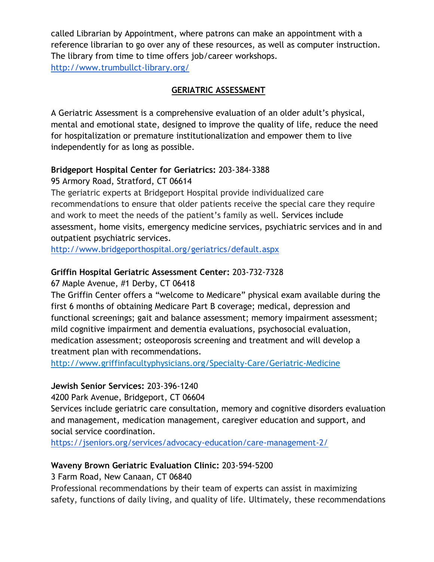called Librarian by Appointment, where patrons can make an appointment with a reference librarian to go over any of these resources, as well as computer instruction. The library from time to time offers job/career workshops. <http://www.trumbullct-library.org/>

## **GERIATRIC ASSESSMENT**

A Geriatric Assessment is a comprehensive evaluation of an older adult's physical, mental and emotional state, designed to improve the quality of life, reduce the need for hospitalization or premature institutionalization and empower them to live independently for as long as possible.

## **Bridgeport Hospital Center for Geriatrics:** 203-384-3388

95 Armory Road, Stratford, CT 06614

The geriatric experts at Bridgeport Hospital provide individualized care recommendations to ensure that older patients receive the special care they require and work to meet the needs of the patient's family as well. Services include assessment, home visits, emergency medicine services, psychiatric services and in and outpatient psychiatric services.

<http://www.bridgeporthospital.org/geriatrics/default.aspx>

## **Griffin Hospital Geriatric Assessment Center:** 203-732-7328

67 Maple Avenue, #1 Derby, CT 06418

The Griffin Center offers a "welcome to Medicare" physical exam available during the first 6 months of obtaining Medicare Part B coverage; medical, depression and functional screenings; gait and balance assessment; memory impairment assessment; mild cognitive impairment and dementia evaluations, psychosocial evaluation, medication assessment; osteoporosis screening and treatment and will develop a treatment plan with recommendations.

http://www.griffinfacultyphysicians.org/Specialty-Care/Geriatric-Medicine

## **Jewish Senior Services:** 203-396-1240

4200 Park Avenue, Bridgeport, CT 06604

Services include geriatric care consultation, memory and cognitive disorders evaluation and management, medication management, caregiver education and support, and social service coordination.

<https://jseniors.org/services/advocacy-education/care-management-2/>

## **Waveny Brown Geriatric Evaluation Clinic:** 203-594-5200

3 Farm Road, New Canaan, CT 06840

Professional recommendations by their team of experts can assist in maximizing safety, functions of daily living, and quality of life. Ultimately, these recommendations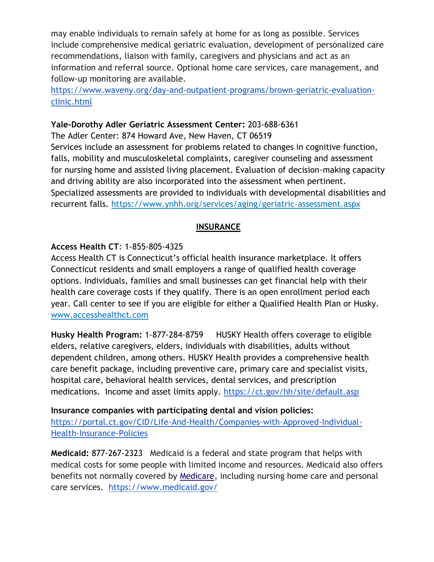may enable individuals to remain safely at home for as long as possible. Services include comprehensive medical geriatric evaluation, development of personalized care recommendations, liaison with family, caregivers and physicians and act as an information and referral source. Optional home care services, care management, and follow-up monitoring are available.

[https://www.waveny.org/day-and-outpatient-programs/brown-geriatric-evaluation](https://www.waveny.org/day-and-outpatient-programs/brown-geriatric-evaluation-clinic.html)[clinic.html](https://www.waveny.org/day-and-outpatient-programs/brown-geriatric-evaluation-clinic.html)

#### **Yale-Dorothy Adler Geriatric Assessment Center:** 203-688-6361

The Adler Center: 874 Howard Ave, New Haven, CT 06519 Services include an assessment for problems related to changes in cognitive function, falls, mobility and musculoskeletal complaints, caregiver counseling and assessment for nursing home and assisted living placement. Evaluation of decision-making capacity and driving ability are also incorporated into the assessment when pertinent. Specialized assessments are provided to individuals with developmental disabilities and recurrent falls. https://www.ynhh.org/services/aging/geriatric-assessment.aspx

## **INSURANCE**

## **Access Health CT**: 1-855-805-4325

Access Health CT is Connecticut's official health insurance marketplace. It offers Connecticut residents and small employers a range of qualified health coverage options. Individuals, families and small businesses can get financial help with their health care coverage costs if they qualify. There is an open enrollment period each year. Call center to see if you are eligible for either a Qualified Health Plan or Husky. www.accesshealthct.com

**Husky Health Program:** 1-877-284-8759 HUSKY Health offers coverage to eligible elders, relative caregivers, elders, individuals with disabilities, adults without dependent children, among others. HUSKY Health provides a comprehensive health care benefit package, including preventive care, primary care and specialist visits, hospital care, behavioral health services, dental services, and prescription medications. Income and asset limits apply. <https://ct.gov/hh/site/default.asp>

**Insurance companies with participating dental and vision policies:** [https://portal.ct.gov/CID/Life-And-Health/Companies-with-Approved-Individual-](https://portal.ct.gov/CID/Life-And-Health/Companies-with-Approved-Individual-Health-Insurance-Policies)[Health-Insurance-Policies](https://portal.ct.gov/CID/Life-And-Health/Companies-with-Approved-Individual-Health-Insurance-Policies)

**Medicaid:** 877-267-2323 Medicaid is a federal and state program that helps with medical costs for some people with limited income and resources. Medicaid also offers benefits not normally covered b[y](https://en.wikipedia.org/wiki/Medicare_(United_States)) [Medicare,](https://en.wikipedia.org/wiki/Medicare_(United_States)) including nursing home care and personal care services. <https://www.medicaid.gov/>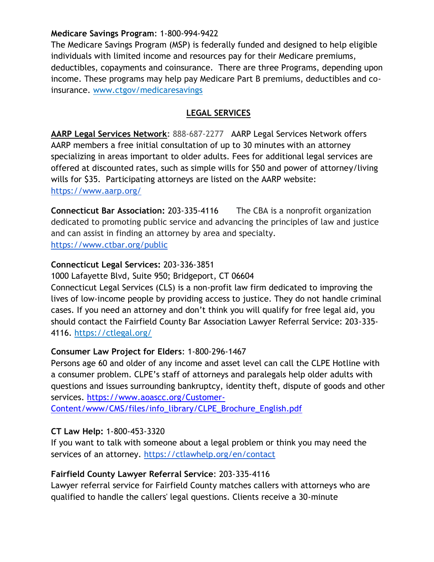#### **Medicare Savings Program**: 1-800-994-9422

The Medicare Savings Program (MSP) is federally funded and designed to help eligible individuals with limited income and resources pay for their Medicare premiums, deductibles, copayments and coinsurance. There are three Programs, depending upon income. These programs may help pay Medicare Part B premiums, deductibles and coinsurance. www.ctgov/medicaresavings

## **LEGAL SERVICES**

**[AARP Legal Services Network:](http://connecticut.networkofcare.org/mh/services/agency.aspx?pid=AARPNATIONALOFFICEAARPLegalServicesNetwork_2_556_1)** 888-687-2277 AARP Legal Services Network offers AARP members a free initial consultation of up to 30 minutes with an attorney specializing in areas important to older adults. Fees for additional legal services are offered at discounted rates, such as simple wills for \$50 and power of attorney/living wills for \$35. Participating attorneys are listed on the AARP website: <https://www.aarp.org/>

**Connecticut Bar Association:** 203-335-4116 The CBA is a nonprofit organization dedicated to promoting public service and advancing the principles of law and justice and can assist in finding an attorney by area and specialty. <https://www.ctbar.org/public>

## **Connecticut Legal Services:** 203-336-3851

1000 Lafayette Blvd, Suite 950; Bridgeport, CT 06604 Connecticut Legal Services (CLS) is a non-profit law firm dedicated to improving the lives of low-income people by providing access to justice. They do not handle criminal cases. If you need an attorney and don't think you will qualify for free legal aid, you should contact the Fairfield County Bar Association Lawyer Referral Service: 203-335-

4116. https://ctlegal.org/

## **Consumer Law Project for Elders**: 1-800-296-1467

Persons age 60 and older of any income and asset level can call the CLPE Hotline with a consumer problem. CLPE's staff of attorneys and paralegals help older adults with questions and issues surrounding bankruptcy, identity theft, dispute of goods and other services. [https://www.aoascc.org/Customer-](https://www.aoascc.org/Customer-Content/www/CMS/files/info_library/CLPE_Brochure_English.pdf)

[Content/www/CMS/files/info\\_library/CLPE\\_Brochure\\_English.pdf](https://www.aoascc.org/Customer-Content/www/CMS/files/info_library/CLPE_Brochure_English.pdf)

## **CT Law Help:** 1-800-453-3320

If you want to talk with someone about a legal problem or think you may need the services of an attorney. <https://ctlawhelp.org/en/contact>

## **Fairfield County Lawyer Referral Service**: 203-335-4116

Lawyer referral service for Fairfield County matches callers with attorneys who are qualified to handle the callers' legal questions. Clients receive a 30-minute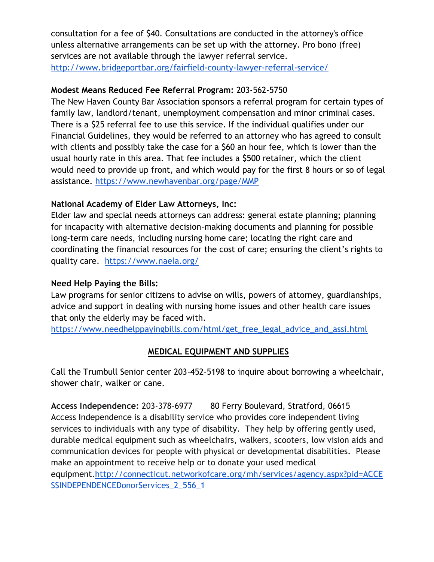consultation for a fee of \$40. Consultations are conducted in the attorney's office unless alternative arrangements can be set up with the attorney. Pro bono (free) services are not available through the lawyer referral service. <http://www.bridgeportbar.org/fairfield-county-lawyer-referral-service/>

## **Modest Means Reduced Fee Referral Program:** 203-562-5750

The New Haven County Bar Association sponsors a referral program for certain types of family law, landlord/tenant, unemployment compensation and minor criminal cases. There is a \$25 referral fee to use this service. If the individual qualifies under our Financial Guidelines, they would be referred to an attorney who has agreed to consult with clients and possibly take the case for a \$60 an hour fee, which is lower than the usual hourly rate in this area. That fee includes a \$500 retainer, which the client would need to provide up front, and which would pay for the first 8 hours or so of legal assistance. <https://www.newhavenbar.org/page/MMP>

## **National Academy of Elder Law Attorneys, Inc:**

Elder law and special needs attorneys can address: general estate planning; planning for incapacity with alternative decision-making documents and planning for possible long-term care needs, including nursing home care; locating the right care and coordinating the financial resources for the cost of care; ensuring the client's rights to quality care. <https://www.naela.org/>

#### **Need Help Paying the Bills:**

Law programs for senior citizens to advise on wills, powers of attorney, guardianships, advice and support in dealing with nursing home issues and other health care issues that only the elderly may be faced with.

[https://www.needhelppayingbills.com/html/get\\_free\\_legal\\_advice\\_and\\_assi.html](https://www.needhelppayingbills.com/html/get_free_legal_advice_and_assi.html)

#### **MEDICAL EQUIPMENT AND SUPPLIES**

Call the Trumbull Senior center 203-452-5198 to inquire about borrowing a wheelchair, shower chair, walker or cane.

**Access Independence:** 203-378-6977 80 Ferry Boulevard, Stratford, 06615 Access Independence is a disability service who provides core independent living services to individuals with any type of disability. They help by offering gently used, durable medical equipment such as wheelchairs, walkers, scooters, low vision aids and communication devices for people with physical or developmental disabilities. Please make an appointment to receive help or to donate your used medical equipment[.http://connecticut.networkofcare.org/mh/services/agency.aspx?pid=ACCE](http://connecticut.networkofcare.org/mh/services/agency.aspx?pid=ACCESSINDEPENDENCEDonorServices_2_556_1) [SSINDEPENDENCEDonorServices\\_2\\_556\\_1](http://connecticut.networkofcare.org/mh/services/agency.aspx?pid=ACCESSINDEPENDENCEDonorServices_2_556_1)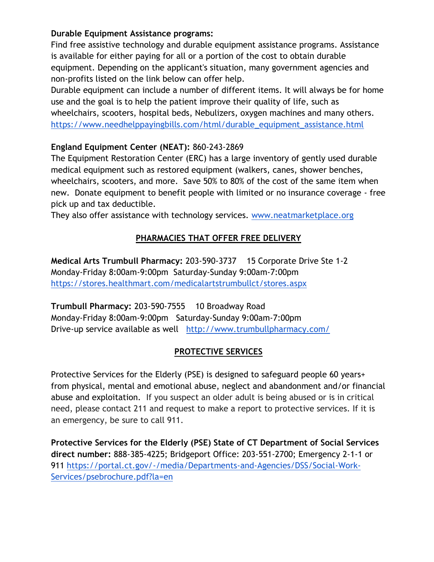## **Durable Equipment Assistance programs:**

Find free assistive technology and durable equipment assistance programs. Assistance is available for either paying for all or a portion of the cost to obtain durable equipment. Depending on the applicant's situation, many government agencies and non-profits listed on the link below can offer help.

Durable equipment can include a number of different items. It will always be for home use and the goal is to help the patient improve their quality of life, such as wheelchairs, scooters, hospital beds, Nebulizers, oxygen machines and many others. [https://www.needhelppayingbills.com/html/durable\\_equipment\\_assistance.html](https://www.needhelppayingbills.com/html/durable_equipment_assistance.html)

## **England Equipment Center (NEAT):** 860-243-2869

The Equipment Restoration Center (ERC) has a large inventory of gently used durable medical equipment such as restored equipment (walkers, canes, shower benches, wheelchairs, scooters, and more. Save 50% to 80% of the cost of the same item when new. Donate equipment to benefit people with limited or no insurance coverage - free pick up and tax deductible.

They also offer assistance with technology services. [www.neatmarketplace.org](http://www.neatmarketplace.org/)

# **PHARMACIES THAT OFFER FREE DELIVERY**

**Medical Arts Trumbull Pharmacy:** 203-590-3737 15 Corporate Drive Ste 1-2 Monday-Friday 8:00am-9:00pm Saturday-Sunday 9:00am-7:00pm <https://stores.healthmart.com/medicalartstrumbullct/stores.aspx>

**Trumbull Pharmacy:** 203-590-7555 10 Broadway Road Monday-Friday 8:00am-9:00pm Saturday-Sunday 9:00am-7:00pm Drive-up service available as well <http://www.trumbullpharmacy.com/>

#### **PROTECTIVE SERVICES**

Protective Services for the Elderly (PSE) is designed to safeguard people 60 years+ from physical, mental and emotional abuse, neglect and abandonment and/or financial abuse and exploitation. If you suspect an older adult is being abused or is in critical need, please contact 211 and request to make a report to protective services. If it is an emergency, be sure to call 911.

**Protective Services for the Elderly (PSE) State of CT Department of Social Services direct number:** 888-385-4225; Bridgeport Office: 203-551-2700; Emergency 2-1-1 or 911 [https://portal.ct.gov/-/media/Departments-and-Agencies/DSS/Social-Work-](https://portal.ct.gov/-/media/Departments-and-Agencies/DSS/Social-Work-Services/psebrochure.pdf?la=en)[Services/psebrochure.pdf?la=en](https://portal.ct.gov/-/media/Departments-and-Agencies/DSS/Social-Work-Services/psebrochure.pdf?la=en)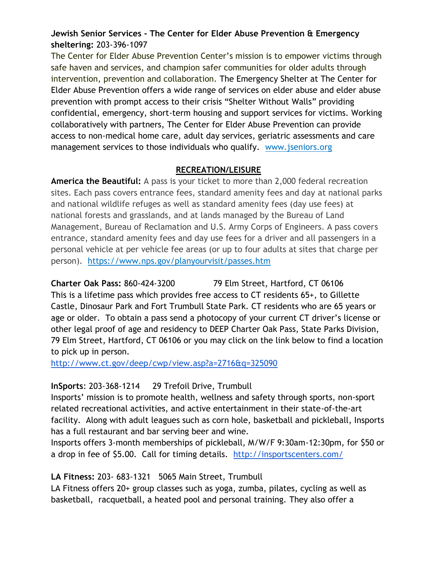## **Jewish Senior Services - The Center for Elder Abuse Prevention & Emergency sheltering:** 203-396-1097

The Center for Elder Abuse Prevention Center's mission is to empower victims through safe haven and services, and champion safer communities for older adults through intervention, prevention and collaboration. The Emergency Shelter at The Center for Elder Abuse Prevention offers a wide range of services on elder abuse and elder abuse prevention with prompt access to their crisis "Shelter Without Walls" providing confidential, emergency, short-term housing and support services for victims. Working collaboratively with partners, The Center for Elder Abuse Prevention can provide access to non-medical home care, adult day services, geriatric assessments and care management services to those individuals who qualify. www.jseniors.org

## **RECREATION/LEISURE**

**America the Beautiful:** A pass is your ticket to more than 2,000 federal recreation sites. Each pass covers entrance fees, standard amenity fees and day at national parks and national wildlife refuges as well as standard amenity fees (day use fees) at national forests and grasslands, and at lands managed by the Bureau of Land Management, Bureau of Reclamation and U.S. Army Corps of Engineers. A pass covers entrance, standard amenity fees and day use fees for a driver and all passengers in a personal vehicle at per vehicle fee areas (or up to four adults at sites that charge per person). https://www.nps.gov/planyourvisit/passes.htm

**Charter Oak Pass:** 860-424-3200 79 Elm Street, Hartford, CT 06106 This is a lifetime pass which provides free access to CT residents 65+, to Gillette Castle, Dinosaur Park and Fort Trumbull State Park. CT residents who are 65 years or age or older. To obtain a pass send a photocopy of your current CT driver's license or other legal proof of age and residency to DEEP Charter Oak Pass, State Parks Division, 79 Elm Street, Hartford, CT 06106 or you may click on the link below to find a location to pick up in person.

<http://www.ct.gov/deep/cwp/view.asp?a=2716&q=325090>

# **InSports**: 203-368-1214 29 Trefoil Drive, Trumbull

Insports' mission is to promote health, wellness and safety through sports, non-sport related recreational activities, and active entertainment in their state-of-the-art facility. Along with adult leagues such as corn hole, basketball and pickleball, Insports has a full restaurant and bar serving beer and wine.

Insports offers 3-month memberships of pickleball, M/W/F 9:30am-12:30pm, for \$50 or a drop in fee of \$5.00. Call for timing details. <http://insportscenters.com/>

# **LA Fitness:** 203- 683-1321 5065 Main Street, Trumbull

LA Fitness offers 20+ group classes such as yoga, zumba, pilates, cycling as well as basketball, racquetball, a heated pool and personal training. They also offer a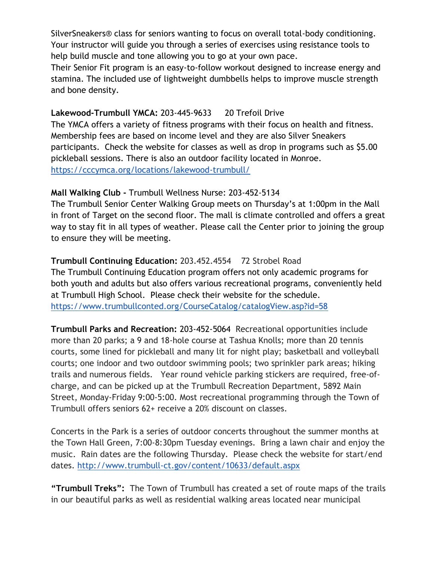SilverSneakers® class for seniors wanting to focus on overall total-body conditioning. Your instructor will guide you through a series of exercises using resistance tools to help build muscle and tone allowing you to go at your own pace.

Their Senior Fit program is an easy-to-follow workout designed to increase energy and stamina. The included use of lightweight dumbbells helps to improve muscle strength and bone density.

#### Lakewood-Trumbull YMCA: 203-445-9633 20 Trefoil Drive

The YMCA offers a variety of fitness programs with their focus on health and fitness. Membership fees are based on income level and they are also Silver Sneakers participants. Check the website for classes as well as drop in programs such as \$5.00 pickleball sessions. There is also an outdoor facility located in Monroe. <https://cccymca.org/locations/lakewood-trumbull/>

#### **Mall Walking Club -** Trumbull Wellness Nurse: 203-452-5134

The Trumbull Senior Center Walking Group meets on Thursday's at 1:00pm in the Mall in front of Target on the second floor. The mall is climate controlled and offers a great way to stay fit in all types of weather. Please call the Center prior to joining the group to ensure they will be meeting.

**Trumbull Continuing Education:** 203.452.4554 72 Strobel Road The Trumbull Continuing Education program offers not only academic programs for both youth and adults but also offers various recreational programs, conveniently held at Trumbull High School. Please check their website for the schedule. <https://www.trumbullconted.org/CourseCatalog/catalogView.asp?id=58>

**Trumbull Parks and Recreation:** 203-452-5064 Recreational opportunities include more than 20 parks; a 9 and 18-hole course at Tashua Knolls; more than 20 tennis courts, some lined for pickleball and many lit for night play; basketball and volleyball courts; one indoor and two outdoor swimming pools; two sprinkler park areas; hiking trails and numerous fields. Year round vehicle parking stickers are required, free-ofcharge, and can be picked up at the Trumbull Recreation Department, 5892 Main Street, Monday-Friday 9:00-5:00. Most recreational programming through the Town of Trumbull offers seniors 62+ receive a 20% discount on classes.

Concerts in the Park is a series of outdoor concerts throughout the summer months at the Town Hall Green, 7:00-8:30pm Tuesday evenings. Bring a lawn chair and enjoy the music. Rain dates are the following Thursday. Please check the website for start/end dates. <http://www.trumbull-ct.gov/content/10633/default.aspx>

**"Trumbull Treks":** The Town of Trumbull has created a set of route maps of the trails in our beautiful parks as well as residential walking areas located near municipal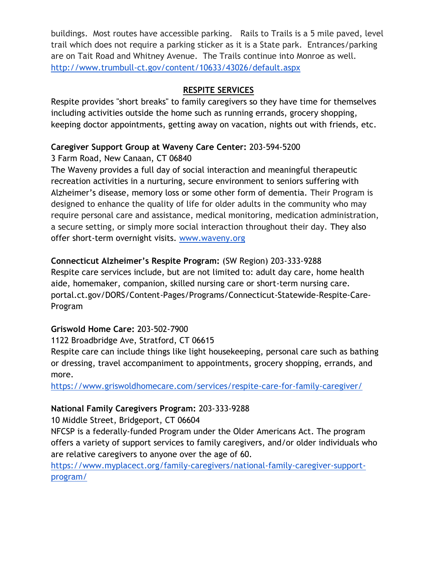buildings. Most routes have accessible parking. Rails to Trails is a 5 mile paved, level trail which does not require a parking sticker as it is a State park. Entrances/parking are on Tait Road and Whitney Avenue. The Trails continue into Monroe as well. <http://www.trumbull-ct.gov/content/10633/43026/default.aspx>

## **RESPITE SERVICES**

Respite provides "short breaks" to family caregivers so they have time for themselves including activities outside the home such as running errands, grocery shopping, keeping doctor appointments, getting away on vacation, nights out with friends, etc.

## **Caregiver Support Group at Waveny Care Center:** 203-594-5200

3 Farm Road, New Canaan, CT 06840

The Waveny provides a full day of social interaction and meaningful therapeutic recreation activities in a nurturing, secure environment to seniors suffering with Alzheimer's disease, memory loss or some other form of dementia. Their Program is designed to enhance the quality of life for older adults in the community who may require personal care and assistance, medical monitoring, medication administration, a secure setting, or simply more social interaction throughout their day. They also offer short-term overnight visits. [www.waveny.org](http://www.waveny.org/)

## **Connecticut Alzheimer's Respite Program:** (SW Region) 203-333-9288

Respite care services include, but are not limited to: adult day care, home health aide, homemaker, companion, skilled nursing care or short-term nursing care. portal.ct.gov/DORS/Content-Pages/Programs/Connecticut-Statewide-Respite-Care-Program

#### **Griswold Home Care:** 203-502-7900

1122 Broadbridge Ave, Stratford, CT 06615

Respite care can include things like light housekeeping, personal care such as bathing or dressing, travel accompaniment to appointments, grocery shopping, errands, and more.

<https://www.griswoldhomecare.com/services/respite-care-for-family-caregiver/>

## **National Family Caregivers Program:** 203-333-9288

10 Middle Street, Bridgeport, CT 06604

NFCSP is a federally-funded Program under the Older Americans Act. The program offers a variety of support services to family caregivers, and/or older individuals who are relative caregivers to anyone over the age of 60.

[https://www.myplacect.org/family-caregivers/national-family-caregiver-support](https://www.myplacect.org/family-caregivers/national-family-caregiver-support-program/)[program/](https://www.myplacect.org/family-caregivers/national-family-caregiver-support-program/)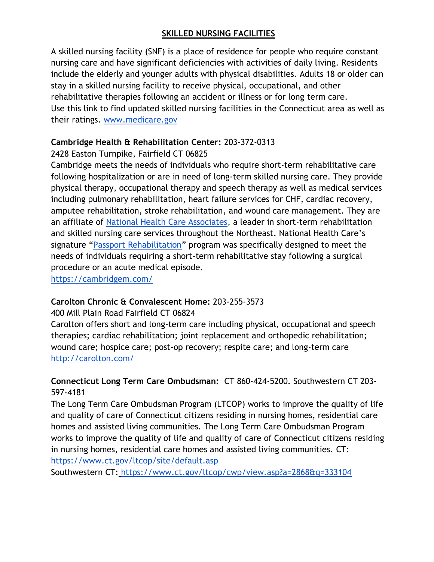## **SKILLED NURSING FACILITIES**

A skilled nursing facility (SNF) is a place of residence for people who require constant nursing care and have significant deficiencies with activities of daily living. Residents include the elderly and younger adults with physical disabilities. Adults 18 or older can stay in a skilled nursing facility to receive physical, occupational, and other rehabilitative therapies following an accident or illness or for long term care. Use this link to find updated skilled nursing facilities in the Connecticut area as well as their ratings. www.medicare.gov

# **Cambridge Health & Rehabilitation Center:** 203-372-0313

# 2428 Easton Turnpike, Fairfield CT 06825

Cambridge meets the needs of individuals who require short-term rehabilitative care following hospitalization or are in need of long-term skilled nursing care. They provide physical therapy, occupational therapy and speech therapy as well as medical services including pulmonary rehabilitation, heart failure services for CHF, cardiac recovery, amputee rehabilitation, stroke rehabilitation, and wound care management. They are an affiliate o[f](http://nationalhealth.wpengine.com/) [National Health Care Associates,](http://nationalhealth.wpengine.com/) a leader in short-term rehabilitation and skilled nursing care services throughout the Northeast. National Health Care's signature "[Passport Rehabilitation](http://www.passportrehab.com/)" program was specifically designed to meet the needs of individuals requiring a short-term rehabilitative stay following a surgical procedure or an acute medical episode.

<https://cambridgem.com/>

# **Carolton Chronic & Convalescent Home:** 203-255-3573

## 400 Mill Plain Road Fairfield CT 06824

Carolton offers short and long-term care including physical, occupational and speech therapies; cardiac rehabilitation; joint replacement and orthopedic rehabilitation; wound care; hospice care; post-op recovery; respite care; and long-term care <http://carolton.com/>

# **Connecticut Long Term Care Ombudsman:** CT 860-424-5200. Southwestern CT 203- 597-4181

The Long Term Care Ombudsman Program (LTCOP) works to improve the quality of life and quality of care of Connecticut citizens residing in nursing homes, residential care homes and assisted living communities. The Long Term Care Ombudsman Program works to improve the quality of life and quality of care of Connecticut citizens residing in nursing homes, residential care homes and assisted living communities. CT[:](https://www.ct.gov/ltcop/site/default.asp) <https://www.ct.gov/ltcop/site/default.asp>

Southwestern CT[:](https://www.ct.gov/ltcop/cwp/view.asp?a=2868&q=333104) <https://www.ct.gov/ltcop/cwp/view.asp?a=2868&q=333104>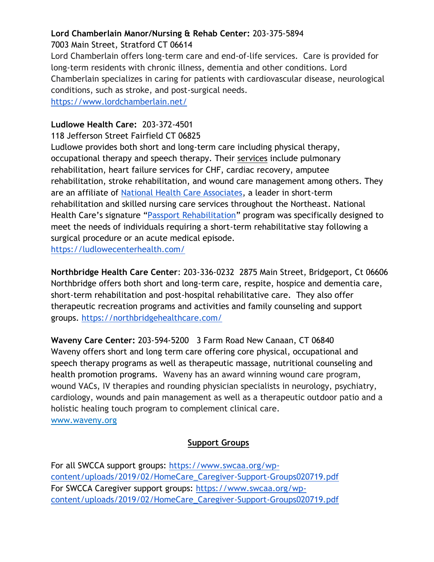## **Lord Chamberlain Manor/Nursing & Rehab Center:** 203-375-5894

7003 Main Street, Stratford CT 06614

Lord Chamberlain offers long-term care and end-of-life services. Care is provided for long-term residents with chronic illness, dementia and other conditions. Lord Chamberlain specializes in caring for patients with cardiovascular disease, neurological conditions, such as stroke, and post-surgical needs.

<https://www.lordchamberlain.net/>

## **Ludlowe Health Care:** 203-372-4501

118 Jefferson Street Fairfield CT 06825

Ludlowe provides both short and long-term care including physical therapy, occupational therapy and speech therapy. Thei[r](http://ludlowecenterhealth.com/ludlowe/services) [services](http://ludlowecenterhealth.com/ludlowe/services) include pulmonary rehabilitation, heart failure services for CHF, cardiac recovery, amputee rehabilitation, stroke rehabilitation, and wound care management among others. They are an affiliate o[f](http://nationalhealth.wpengine.com/) [National Health Care Associates,](http://nationalhealth.wpengine.com/) a leader in short-term rehabilitation and skilled nursing care services throughout the Northeast. National Health Care's signature "[Passport Rehabilitation](http://www.passportrehab.com/)" program was specifically designed to meet the needs of individuals requiring a short-term rehabilitative stay following a surgical procedure or an acute medical episode. <https://ludlowecenterhealth.com/>

**Northbridge Health Care Center**: 203-336-0232 2875 Main Street, Bridgeport, Ct 06606 Northbridge offers both short and long-term care, respite, hospice and dementia care, short-term rehabilitation and post-hospital rehabilitative care. They also offer therapeutic recreation programs and activities and family counseling and support groups. <https://northbridgehealthcare.com/>

**Waveny Care Center:** 203-594-5200 3 Farm Road New Canaan, CT 06840 Waveny offers short and long term care offering core physical, occupational and speech therapy programs as well as therapeutic massage, nutritional counseling and health promotion programs. Waveny has an award winning wound care program, wound VACs, IV therapies and rounding physician specialists in neurology, psychiatry, cardiology, wounds and pain management as well as a therapeutic outdoor patio and a holistic healing touch program to complement clinical care. www.waveny.org

## **Support Groups**

For all SWCCA support groups: [https://www.swcaa.org/wp](https://www.swcaa.org/wp-content/uploads/2019/02/HomeCare_Caregiver-Support-Groups020719.pdf)[content/uploads/2019/02/HomeCare\\_Caregiver-Support-Groups020719.pdf](https://www.swcaa.org/wp-content/uploads/2019/02/HomeCare_Caregiver-Support-Groups020719.pdf) For SWCCA Caregiver support groups: [https://www.swcaa.org/wp](https://www.swcaa.org/wp-content/uploads/2019/02/HomeCare_Caregiver-Support-Groups020719.pdf)[content/uploads/2019/02/HomeCare\\_Caregiver-Support-Groups020719.pdf](https://www.swcaa.org/wp-content/uploads/2019/02/HomeCare_Caregiver-Support-Groups020719.pdf)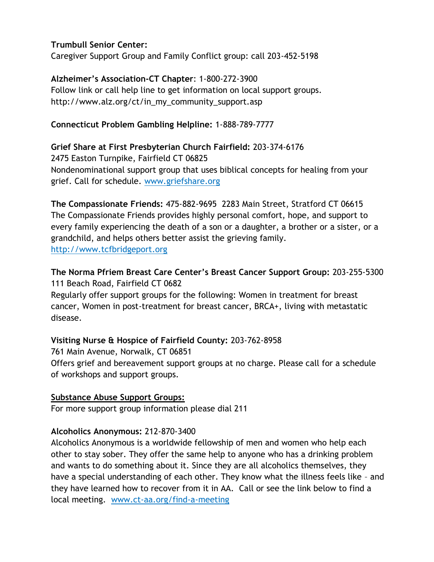## **Trumbull Senior Center:**

Caregiver Support Group and Family Conflict group: call 203-452-5198

#### **Alzheimer's Association-CT Chapter**: 1-800-272-3900 Follow link or call help line to get information on local support groups. http://www.alz.org/ct/in\_my\_community\_support.asp

## **Connecticut Problem Gambling Helpline:** 1-888-789-7777

## **Grief Share at First Presbyterian Church Fairfield:** 203-374-6176

2475 Easton Turnpike, Fairfield CT 06825 Nondenominational support group that uses biblical concepts for healing from your grief. Call for schedule. www.griefshare.org

**The Compassionate Friends:** 475-882-9695 2283 Main Street, Stratford CT 06615 The Compassionate Friends provides highly personal comfort, hope, and support to every family experiencing the death of a son or a daughter, a brother or a sister, or a grandchild, and helps others better assist the grieving family. http://www.tcfbridgeport.org

# **The Norma Pfriem Breast Care Center's Breast Cancer Support Group:** 203-255-5300 111 Beach Road, Fairfield CT 0682

Regularly offer support groups for the following: Women in treatment for breast cancer, Women in post-treatment for breast cancer, BRCA+, living with metastatic disease.

## **Visiting Nurse & Hospice of Fairfield County:** 203-762-8958

761 Main Avenue, Norwalk, CT 06851 Offers grief and bereavement support groups at no charge. Please call for a schedule of workshops and support groups.

#### **Substance Abuse Support Groups:**

For more support group information please dial 211

## **Alcoholics Anonymous:** 212-870-3400

Alcoholics Anonymous is a worldwide fellowship of men and women who help each other to stay sober. They offer the same help to anyone who has a drinking problem and wants to do something about it. Since they are all alcoholics themselves, they have a special understanding of each other. They know what the illness feels like – and they have learned how to recover from it in AA. Call or see the link below to find a local meeting. www.ct-aa.org/find-a-meeting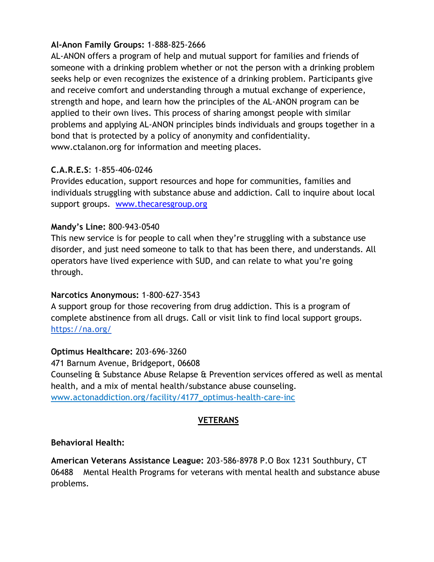## **Al-Anon Family Groups:** 1-888-825-2666

AL-ANON offers a program of help and mutual support for families and friends of someone with a drinking problem whether or not the person with a drinking problem seeks help or even recognizes the existence of a drinking problem. Participants give and receive comfort and understanding through a mutual exchange of experience, strength and hope, and learn how the principles of the AL-ANON program can be applied to their own lives. This process of sharing amongst people with similar problems and applying AL-ANON principles binds individuals and groups together in a bond that is protected by a policy of anonymity and confidentiality. www.ctalanon.org for information and meeting places.

## **C.A.R.E.S**: 1-855-406-0246

Provides education, support resources and hope for communities, families and individuals struggling with substance abuse and addiction. Call to inquire about local support groups. [www.thecaresgroup.org](http://www.thecaresgroup.org/)

#### **Mandy's Line:** 800-943-0540

This new service is for people to call when they're struggling with a substance use disorder, and just need someone to talk to that has been there, and understands. All operators have lived experience with SUD, and can relate to what you're going through.

#### **Narcotics Anonymous:** 1-800-627-3543

A support group for those recovering from drug addiction. This is a program of complete abstinence from all drugs. Call or visit link to find local support groups[.](https://na.org/) <https://na.org/>

#### **Optimus Healthcare:** 203-696-3260

471 Barnum Avenue, Bridgeport, 06608 Counseling & Substance Abuse Relapse & Prevention services offered as well as mental health, and a mix of mental health/substance abuse counseling. www.actonaddiction.org/facility/4177\_optimus-health-care-inc

#### **VETERANS**

#### **Behavioral Health:**

**American Veterans Assistance League:** 203-586-8978 P.O Box 1231 Southbury, CT 06488 Mental Health Programs for veterans with mental health and substance abuse problems.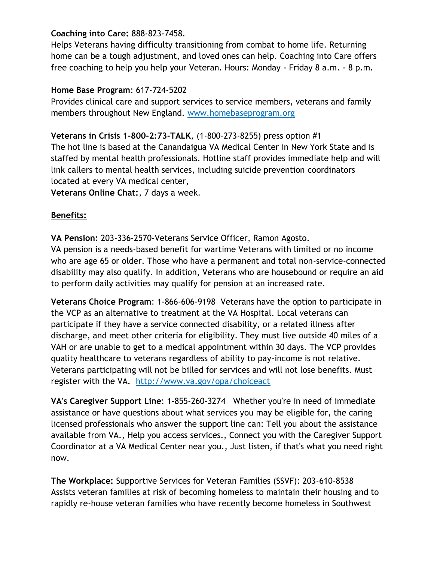## **Coaching into Care:** 888-823-7458.

Helps Veterans having difficulty transitioning from combat to home life. Returning home can be a tough adjustment, and loved ones can help. Coaching into Care offers free coaching to help you help your Veteran. Hours: Monday - Friday 8 a.m. - 8 p.m.

#### **Home Base Program**: 617-724-5202

Provides clinical care and support services to service members, veterans and family members throughout New England. www.homebaseprogram.org

**Veterans in Crisis 1-800-2:73-TALK**, (1-800-273-8255) press option #1 The hot line is based at the Canandaigua VA Medical Center in New York State and is staffed by mental health professionals. Hotline staff provides immediate help and will link callers to mental health services, including suicide prevention coordinators located at every VA medical center,

**Veterans Online Chat:**, 7 days a week.

## **Benefits:**

**VA Pension:** 203-336-2570-Veterans Service Officer, Ramon Agosto.

VA pension is a needs-based benefit for wartime Veterans with limited or no income who are age 65 or older. Those who have a permanent and total non-service-connected disability may also qualify. In addition, Veterans who are housebound or require an aid to perform daily activities may qualify for pension at an increased rate.

**Veterans Choice Program**: 1-866-606-9198 Veterans have the option to participate in the VCP as an alternative to treatment at the VA Hospital. Local veterans can participate if they have a service connected disability, or a related illness after discharge, and meet other criteria for eligibility. They must live outside 40 miles of a VAH or are unable to get to a medical appointment within 30 days. The VCP provides quality healthcare to veterans regardless of ability to pay-income is not relative. Veterans participating will not be billed for services and will not lose benefits. Must register with the VA. http://www.va.gov/opa/choiceact

**VA's Caregiver Support Line**: 1-855-260-3274 Whether you're in need of immediate assistance or have questions about what services you may be eligible for, the caring licensed professionals who answer the support line can: Tell you about the assistance available from VA., Help you access services., Connect you with the Caregiver Support Coordinator at a VA Medical Center near you., Just listen, if that's what you need right now.

**The Workplace:** Supportive Services for Veteran Families (SSVF): 203-610-8538 Assists veteran families at risk of becoming homeless to maintain their housing and to rapidly re-house veteran families who have recently become homeless in Southwest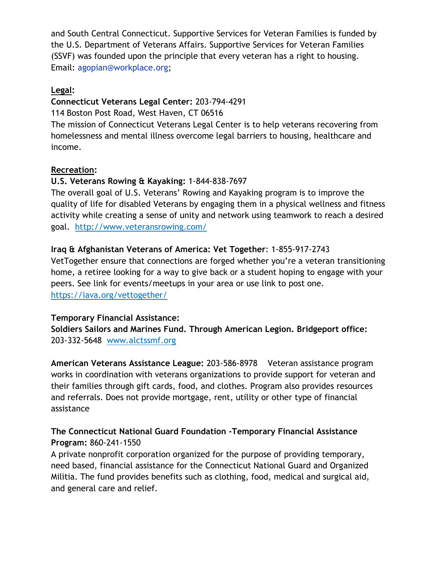and South Central Connecticut. Supportive Services for Veteran Families is funded by the U.S. Department of Veterans Affairs. Supportive Services for Veteran Families (SSVF) was founded upon the principle that every veteran has a right to housing. Email: agopian@workplace.org;

#### **Legal:**

## **Connecticut Veterans Legal Center:** 203-794-4291

114 Boston Post Road, West Haven, CT 06516

The mission of Connecticut Veterans Legal Center is to help veterans recovering from homelessness and mental illness overcome legal barriers to housing, healthcare and income.

## **Recreation:**

## **U.S. Veterans Rowing & Kayaking:** 1-844-838-7697

The overall goal of U.S. Veterans' Rowing and Kayaking program is to improve the quality of life for disabled Veterans by engaging them in a physical wellness and fitness activity while creating a sense of unity and network using teamwork to reach a desired goal. http://www.veteransrowing.com/

## **Iraq & Afghanistan Veterans of America: Vet Together**: 1-855-917-2743

VetTogether ensure that connections are forged whether you're a veteran transitioning home, a retiree looking for a way to give back or a student hoping to engage with your peers. See link for events/meetups in your area or use link to post one. https://iava.org/vettogether/

#### **Temporary Financial Assistance:**

**Soldiers Sailors and Marines Fund. Through American Legion. Bridgeport office:**  203-332-5648 www.alctssmf.org

**American Veterans Assistance League:** 203-586-8978 Veteran assistance program works in coordination with veterans organizations to provide support for veteran and their families through gift cards, food, and clothes. Program also provides resources and referrals. Does not provide mortgage, rent, utility or other type of financial assistance

# **The Connecticut National Guard Foundation -Temporary Financial Assistance Program:** 860-241-1550

A private nonprofit corporation organized for the purpose of providing temporary, need based, financial assistance for the Connecticut National Guard and Organized Militia. The fund provides benefits such as clothing, food, medical and surgical aid, and general care and relief.